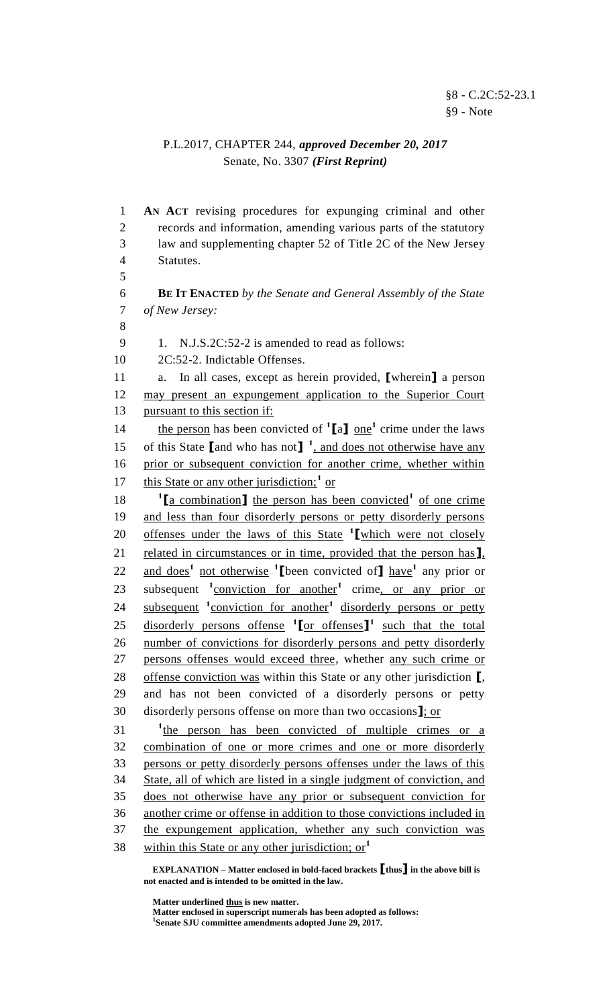## P.L.2017, CHAPTER 244, *approved December 20, 2017* Senate, No. 3307 *(First Reprint)*

1 **AN ACT** revising procedures for expunging criminal and other 2 records and information, amending various parts of the statutory 3 law and supplementing chapter 52 of Title 2C of the New Jersey 4 Statutes. 5 6 **BE IT ENACTED** *by the Senate and General Assembly of the State*  7 *of New Jersey:* 8 9 1. N.J.S.2C:52-2 is amended to read as follows: 10 2C:52-2. Indictable Offenses. 11 a. In all cases, except as herein provided, **[**wherein**]** a person 12 may present an expungement application to the Superior Court 13 pursuant to this section if: 14 the person has been convicted of  $^1$ [a] one<sup>1</sup> crime under the laws 15 of this State  $\left[\begin{array}{cc} \text{and who has not} \end{array}\right]$ <sup>1</sup>, and does not otherwise have any 16 prior or subsequent conviction for another crime, whether within 17 this State or any other jurisdiction;<sup>1</sup> or 18 <sup>1</sup>[a combination] the person has been convicted<sup>1</sup> of one crime 19 and less than four disorderly persons or petty disorderly persons 20 offenses under the laws of this State <sup>1</sup> [which were not closely 21 related in circumstances or in time, provided that the person has**]**, 22 and does<sup>1</sup> not otherwise <sup>1</sup> [been convicted of] have<sup>1</sup> any prior or 23 subsequent <sup>1</sup>conviction for another<sup>1</sup> crime, or any prior or 24 subsequent <sup>1</sup>conviction for another<sup>1</sup> disorderly persons or petty 25 disorderly persons offense <sup>1</sup>[or offenses]<sup>1</sup> such that the total 26 number of convictions for disorderly persons and petty disorderly 27 persons offenses would exceed three, whether any such crime or 28 offense conviction was within this State or any other jurisdiction **[**, 29 and has not been convicted of a disorderly persons or petty 30 disorderly persons offense on more than two occasions**]**; or 31 <sup>t</sup> <sup>1</sup> the person has been convicted of multiple crimes or a 32 combination of one or more crimes and one or more disorderly 33 persons or petty disorderly persons offenses under the laws of this 34 State, all of which are listed in a single judgment of conviction, and 35 does not otherwise have any prior or subsequent conviction for 36 another crime or offense in addition to those convictions included in 37 the expungement application, whether any such conviction was within this State or any other jurisdiction; or<sup>1</sup> 38

**EXPLANATION – Matter enclosed in bold-faced brackets [thus] in the above bill is not enacted and is intended to be omitted in the law.**

**Matter underlined thus is new matter.**

**Matter enclosed in superscript numerals has been adopted as follows: 1 Senate SJU committee amendments adopted June 29, 2017.**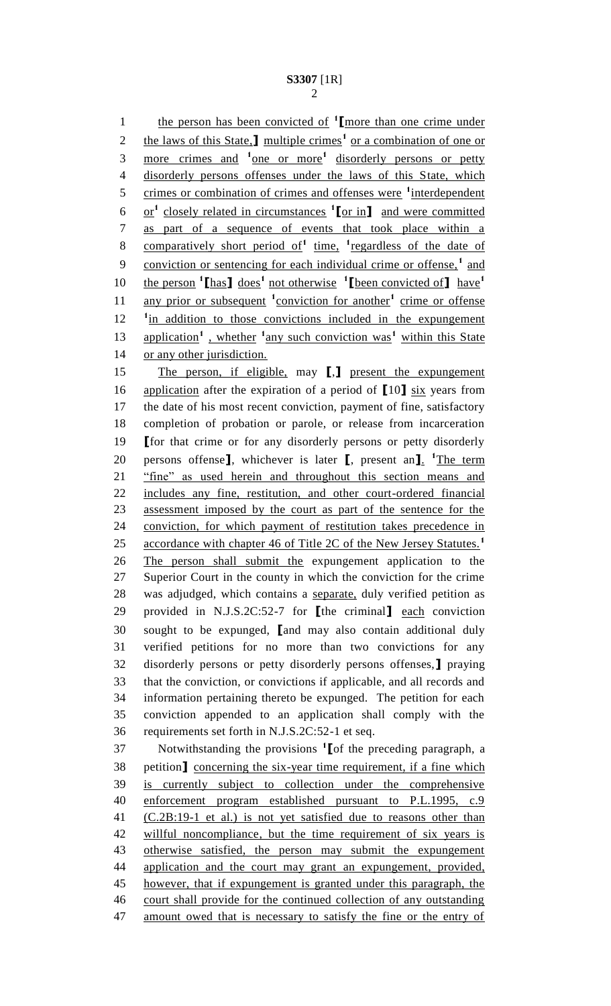**the person has been convicted of <sup>1</sup> [more than one crime under** 2 the laws of this State,<sup>1</sup> multiple crimes<sup>1</sup> or a combination of one or 3 more crimes and <sup>1</sup> one or more<sup>1</sup> disorderly persons or petty disorderly persons offenses under the laws of this State, which 5 crimes or combination of crimes and offenses were <sup>1</sup>interdependent  $\text{or}^1$  closely related in circumstances  $\text{1}$  or in and were committed as part of a sequence of events that took place within a 8 comparatively short period of<sup>1</sup> time, <sup>1</sup> regardless of the date of 9 conviction or sentencing for each individual crime or offense,<sup>1</sup> and the person **<sup>1</sup> [**has**]** does**<sup>1</sup>** not otherwise **1 [**been convicted of**]** have**<sup>1</sup>** 11 any prior or subsequent <sup>1</sup>conviction for another<sup>1</sup> crime or offense 12 <sup>1</sup> in addition to those convictions included in the expungement 13 application<sup>1</sup>, whether <sup>1</sup> any such conviction was<sup>1</sup> within this State 14 or any other jurisdiction. The person, if eligible, may **[**,**]** present the expungement application after the expiration of a period of **[**10**]** six years from the date of his most recent conviction, payment of fine, satisfactory completion of probation or parole, or release from incarceration **[**for that crime or for any disorderly persons or petty disorderly 20 persons offense<sup>]</sup>, whichever is later [, present an<sup>1</sup>. <sup>1</sup>The term "fine" as used herein and throughout this section means and includes any fine, restitution, and other court-ordered financial assessment imposed by the court as part of the sentence for the conviction, for which payment of restitution takes precedence in 25 accordance with chapter 46 of Title 2C of the New Jersey Statutes.<sup>1</sup> The person shall submit the expungement application to the Superior Court in the county in which the conviction for the crime was adjudged, which contains a separate, duly verified petition as provided in N.J.S.2C:52-7 for **[**the criminal**]** each conviction sought to be expunged, **[**and may also contain additional duly verified petitions for no more than two convictions for any disorderly persons or petty disorderly persons offenses,**]** praying that the conviction, or convictions if applicable, and all records and information pertaining thereto be expunged. The petition for each conviction appended to an application shall comply with the requirements set forth in N.J.S.2C:52-1 et seq. Notwithstanding the provisions **<sup>1</sup> [**of the preceding paragraph, a petition**]** concerning the six-year time requirement, if a fine which is currently subject to collection under the comprehensive enforcement program established pursuant to P.L.1995, c.9 (C.2B:19-1 et al.) is not yet satisfied due to reasons other than willful noncompliance, but the time requirement of six years is

 otherwise satisfied, the person may submit the expungement 44 application and the court may grant an expungement, provided,

 however, that if expungement is granted under this paragraph, the court shall provide for the continued collection of any outstanding

47 amount owed that is necessary to satisfy the fine or the entry of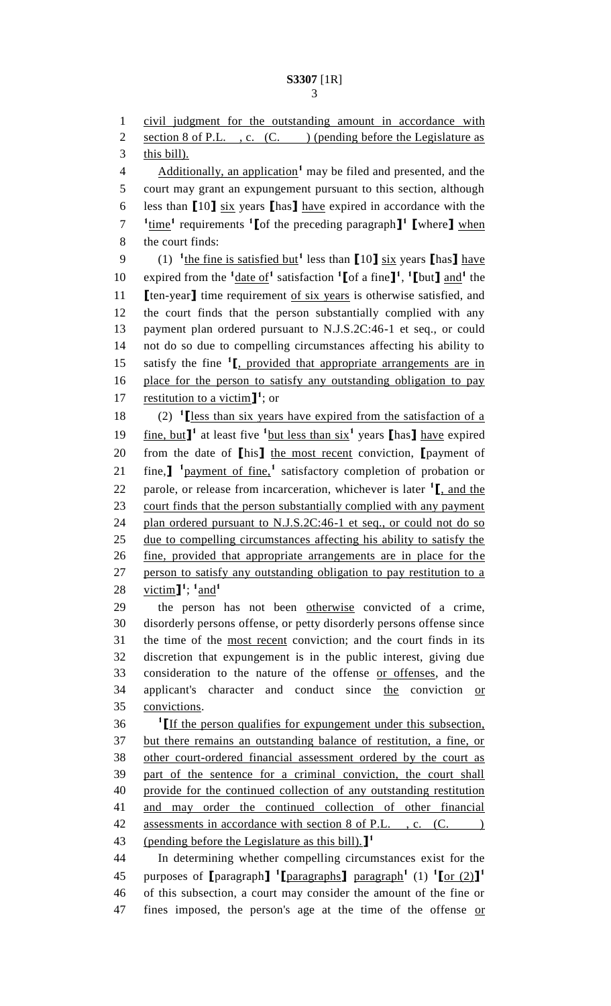civil judgment for the outstanding amount in accordance with 2 section of P.L., c.  $(C.$  ) (pending before the Legislature as 3 this bill). **Additionally, an application** may be filed and presented, and the court may grant an expungement pursuant to this section, although less than **[**10**]** six years **[**has**]** have expired in accordance with the time**<sup>1</sup>** requirements **<sup>1</sup> [**of the preceding paragraph**] 1 [**where**]** when the court finds: (1) **<sup>1</sup>** the fine is satisfied but**<sup>1</sup>** less than **[**10**]** six years **[**has**]** have 10 expired from the  $\frac{1}{\text{date of}}$  satisfaction  $\frac{1}{\text{[of a fine]}}$ ,  $\frac{1}{\text{[but] and}}$  the **[**ten-year**]** time requirement of six years is otherwise satisfied, and the court finds that the person substantially complied with any payment plan ordered pursuant to N.J.S.2C:46-1 et seq., or could not do so due to compelling circumstances affecting his ability to 15 satisfy the fine <sup>1</sup><sub>L, provided that appropriate arrangements are in</sub> place for the person to satisfy any outstanding obligation to pay 17 restitution to a victim<sup>1</sup>; or  $(2)$   $\text{1}$  [less than six years have expired from the satisfaction of a fine, but**] 1** at least five **<sup>1</sup>** but less than six**<sup>1</sup>** years **[**has**]** have expired from the date of **[**his**]** the most recent conviction, **[**payment of fine,**] 1** payment of fine,**<sup>1</sup>** satisfactory completion of probation or 22 parole, or release from incarceration, whichever is later  $\frac{1}{\cdot}$  and the court finds that the person substantially complied with any payment 24 plan ordered pursuant to N.J.S.2C:46-1 et seq., or could not do so due to compelling circumstances affecting his ability to satisfy the fine, provided that appropriate arrangements are in place for the person to satisfy any outstanding obligation to pay restitution to a  $\text{victim}$ <sup>1</sup>;  $\frac{1}{2}$  and<sup>1</sup> the person has not been otherwise convicted of a crime, disorderly persons offense, or petty disorderly persons offense since the time of the most recent conviction; and the court finds in its discretion that expungement is in the public interest, giving due consideration to the nature of the offense or offenses, and the 34 applicant's character and conduct since the conviction or convictions. **[**If the person qualifies for expungement under this subsection, but there remains an outstanding balance of restitution, a fine, or other court-ordered financial assessment ordered by the court as part of the sentence for a criminal conviction, the court shall provide for the continued collection of any outstanding restitution and may order the continued collection of other financial 42 assessments in accordance with section 8 of P.L., c. (C.) (pending before the Legislature as this bill).**] 1** In determining whether compelling circumstances exist for the purposes of  $\left[\text{paragnh}\right]$ <sup>1</sup> $\left[\text{paragnh}\right]$   $\left[\text{paragnph}^1\right]$  (1)  $\left[\text{for (2)}\right]$ <sup>1</sup> of this subsection, a court may consider the amount of the fine or 47 fines imposed, the person's age at the time of the offense or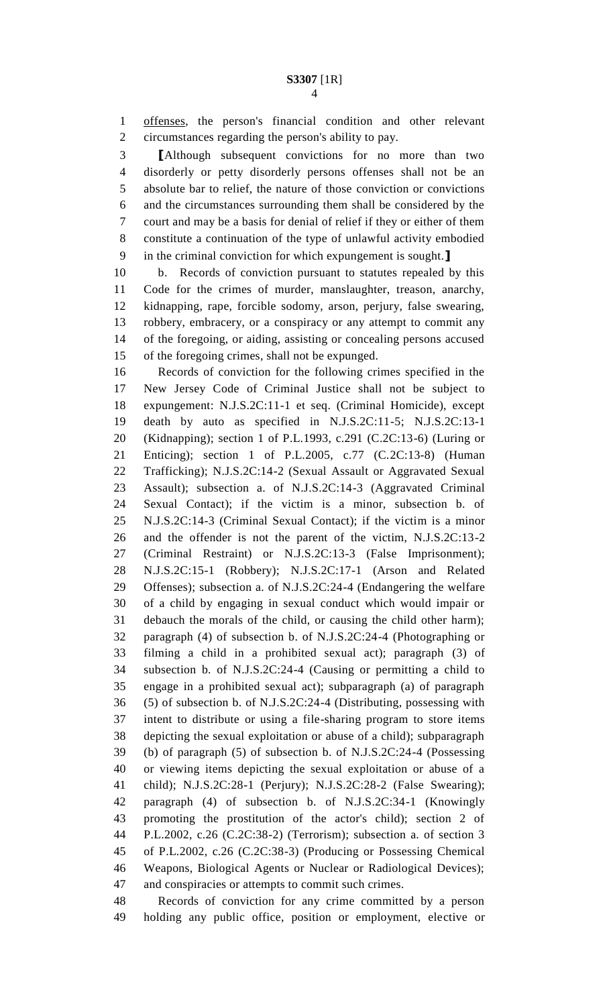offenses, the person's financial condition and other relevant circumstances regarding the person's ability to pay.

 **[**Although subsequent convictions for no more than two disorderly or petty disorderly persons offenses shall not be an absolute bar to relief, the nature of those conviction or convictions and the circumstances surrounding them shall be considered by the court and may be a basis for denial of relief if they or either of them constitute a continuation of the type of unlawful activity embodied in the criminal conviction for which expungement is sought.**]**

 b. Records of conviction pursuant to statutes repealed by this Code for the crimes of murder, manslaughter, treason, anarchy, kidnapping, rape, forcible sodomy, arson, perjury, false swearing, robbery, embracery, or a conspiracy or any attempt to commit any of the foregoing, or aiding, assisting or concealing persons accused of the foregoing crimes, shall not be expunged.

 Records of conviction for the following crimes specified in the New Jersey Code of Criminal Justice shall not be subject to expungement: N.J.S.2C:11-1 et seq. (Criminal Homicide), except death by auto as specified in N.J.S.2C:11-5; N.J.S.2C:13-1 (Kidnapping); section 1 of P.L.1993, c.291 (C.2C:13-6) (Luring or Enticing); section 1 of P.L.2005, c.77 (C.2C:13-8) (Human Trafficking); N.J.S.2C:14-2 (Sexual Assault or Aggravated Sexual Assault); subsection a. of N.J.S.2C:14-3 (Aggravated Criminal Sexual Contact); if the victim is a minor, subsection b. of N.J.S.2C:14-3 (Criminal Sexual Contact); if the victim is a minor and the offender is not the parent of the victim, N.J.S.2C:13-2 (Criminal Restraint) or N.J.S.2C:13-3 (False Imprisonment); N.J.S.2C:15-1 (Robbery); N.J.S.2C:17-1 (Arson and Related Offenses); subsection a. of N.J.S.2C:24-4 (Endangering the welfare of a child by engaging in sexual conduct which would impair or debauch the morals of the child, or causing the child other harm); paragraph (4) of subsection b. of N.J.S.2C:24-4 (Photographing or filming a child in a prohibited sexual act); paragraph (3) of subsection b. of N.J.S.2C:24-4 (Causing or permitting a child to engage in a prohibited sexual act); subparagraph (a) of paragraph (5) of subsection b. of N.J.S.2C:24-4 (Distributing, possessing with intent to distribute or using a file-sharing program to store items depicting the sexual exploitation or abuse of a child); subparagraph (b) of paragraph (5) of subsection b. of N.J.S.2C:24-4 (Possessing or viewing items depicting the sexual exploitation or abuse of a child); N.J.S.2C:28-1 (Perjury); N.J.S.2C:28-2 (False Swearing); paragraph (4) of subsection b. of N.J.S.2C:34-1 (Knowingly promoting the prostitution of the actor's child); section 2 of P.L.2002, c.26 (C.2C:38-2) (Terrorism); subsection a. of section 3 of P.L.2002, c.26 (C.2C:38-3) (Producing or Possessing Chemical Weapons, Biological Agents or Nuclear or Radiological Devices); and conspiracies or attempts to commit such crimes.

 Records of conviction for any crime committed by a person holding any public office, position or employment, elective or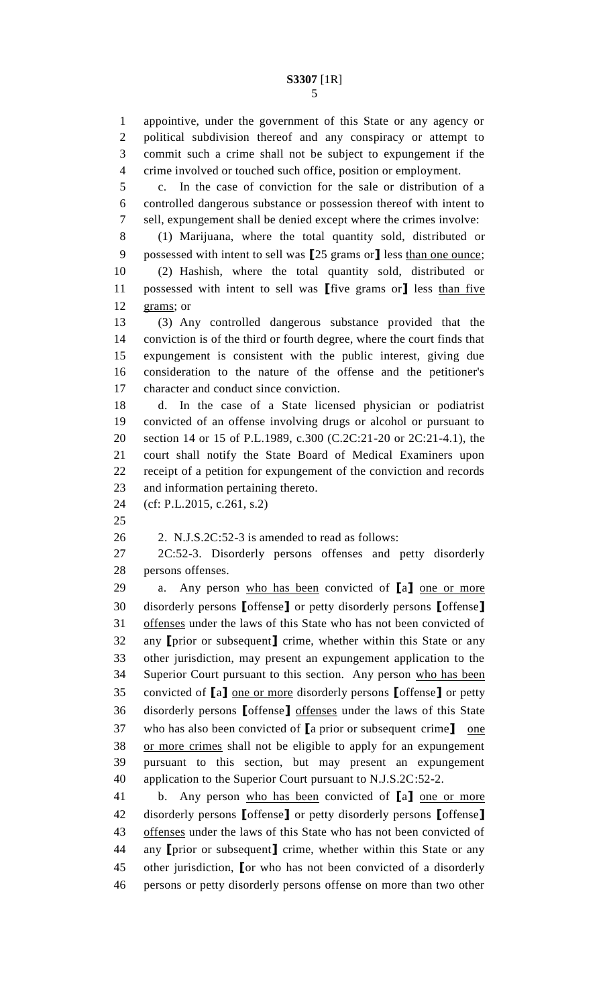appointive, under the government of this State or any agency or political subdivision thereof and any conspiracy or attempt to

 commit such a crime shall not be subject to expungement if the crime involved or touched such office, position or employment. c. In the case of conviction for the sale or distribution of a controlled dangerous substance or possession thereof with intent to sell, expungement shall be denied except where the crimes involve: (1) Marijuana, where the total quantity sold, distributed or possessed with intent to sell was **[**25 grams or**]** less than one ounce; (2) Hashish, where the total quantity sold, distributed or possessed with intent to sell was **[**five grams or**]** less than five grams; or (3) Any controlled dangerous substance provided that the conviction is of the third or fourth degree, where the court finds that expungement is consistent with the public interest, giving due consideration to the nature of the offense and the petitioner's character and conduct since conviction. d. In the case of a State licensed physician or podiatrist convicted of an offense involving drugs or alcohol or pursuant to section 14 or 15 of P.L.1989, c.300 (C.2C:21-20 or 2C:21-4.1), the court shall notify the State Board of Medical Examiners upon receipt of a petition for expungement of the conviction and records and information pertaining thereto. (cf: P.L.2015, c.261, s.2) 2. N.J.S.2C:52-3 is amended to read as follows: 2C:52-3. Disorderly persons offenses and petty disorderly persons offenses. a. Any person who has been convicted of **[**a**]** one or more disorderly persons **[**offense**]** or petty disorderly persons **[**offense**]** offenses under the laws of this State who has not been convicted of any **[**prior or subsequent**]** crime, whether within this State or any other jurisdiction, may present an expungement application to the 34 Superior Court pursuant to this section. Any person who has been convicted of **[**a**]** one or more disorderly persons **[**offense**]** or petty disorderly persons **[**offense**]** offenses under the laws of this State who has also been convicted of **[**a prior or subsequent crime**]** one or more crimes shall not be eligible to apply for an expungement pursuant to this section, but may present an expungement application to the Superior Court pursuant to N.J.S.2C:52-2. b. Any person who has been convicted of **[**a**]** one or more disorderly persons **[**offense**]** or petty disorderly persons **[**offense**]** 43 offenses under the laws of this State who has not been convicted of any **[**prior or subsequent**]** crime, whether within this State or any other jurisdiction, **[**or who has not been convicted of a disorderly persons or petty disorderly persons offense on more than two other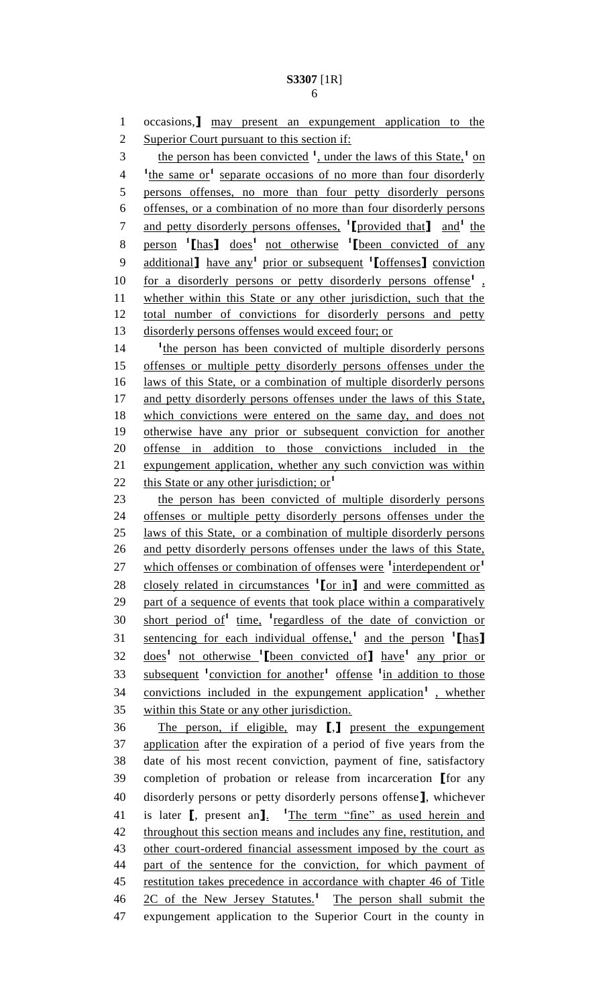### 

 occasions,**]** may present an expungement application to the 2 Superior Court pursuant to this section if: 3 the person has been convicted <sup>1</sup>, under the laws of this State, <sup>1</sup> on <sup>1</sup> the same or<sup>1</sup> separate occasions of no more than four disorderly persons offenses, no more than four petty disorderly persons offenses, or a combination of no more than four disorderly persons 7 and petty disorderly persons offenses, <sup>1</sup>[provided that] and<sup>1</sup> the person **<sup>1</sup> [**has**]** does**<sup>1</sup>**not otherwise **<sup>1</sup> [**been convicted of any additional**]** have any**<sup>1</sup>** prior or subsequent **<sup>1</sup> [**offenses**]** conviction for a disorderly persons or petty disorderly persons offense<sup>1</sup>, whether within this State or any other jurisdiction, such that the total number of convictions for disorderly persons and petty disorderly persons offenses would exceed four; or 14 <sup>t</sup> <sup>1</sup> the person has been convicted of multiple disorderly persons offenses or multiple petty disorderly persons offenses under the laws of this State, or a combination of multiple disorderly persons 17 and petty disorderly persons offenses under the laws of this State, which convictions were entered on the same day, and does not otherwise have any prior or subsequent conviction for another offense in addition to those convictions included in the expungement application, whether any such conviction was within this State or any other jurisdiction; or**<sup>1</sup>** 23 the person has been convicted of multiple disorderly persons offenses or multiple petty disorderly persons offenses under the laws of this State, or a combination of multiple disorderly persons 26 and petty disorderly persons offenses under the laws of this State, which offenses or combination of offenses were <sup>1</sup>interdependent or<sup>1</sup> closely related in circumstances **<sup>1</sup> [**or in**]** and were committed as part of a sequence of events that took place within a comparatively 30 short period of<sup>1</sup> time, <sup>1</sup> regardless of the date of conviction or sentencing for each individual offense,**<sup>1</sup>** and the person **<sup>1</sup> [**has**]** does**<sup>1</sup>** not otherwise **<sup>1</sup> [**been convicted of**]** have**<sup>1</sup>** any prior or 33 subsequent <sup>1</sup>conviction for another<sup>1</sup> offense <sup>1</sup> in addition to those 34 convictions included in the expungement application<sup>1</sup>, whether within this State or any other jurisdiction. The person, if eligible, may **[**,**]** present the expungement application after the expiration of a period of five years from the date of his most recent conviction, payment of fine, satisfactory completion of probation or release from incarceration **[**for any disorderly persons or petty disorderly persons offense**]**, whichever 41 is later **[**, present an**]**. <sup>1</sup>The term "fine" as used herein and throughout this section means and includes any fine, restitution, and 43 other court-ordered financial assessment imposed by the court as part of the sentence for the conviction, for which payment of restitution takes precedence in accordance with chapter 46 of Title 46 2C of the New Jersey Statutes.<sup>1</sup> The person shall submit the expungement application to the Superior Court in the county in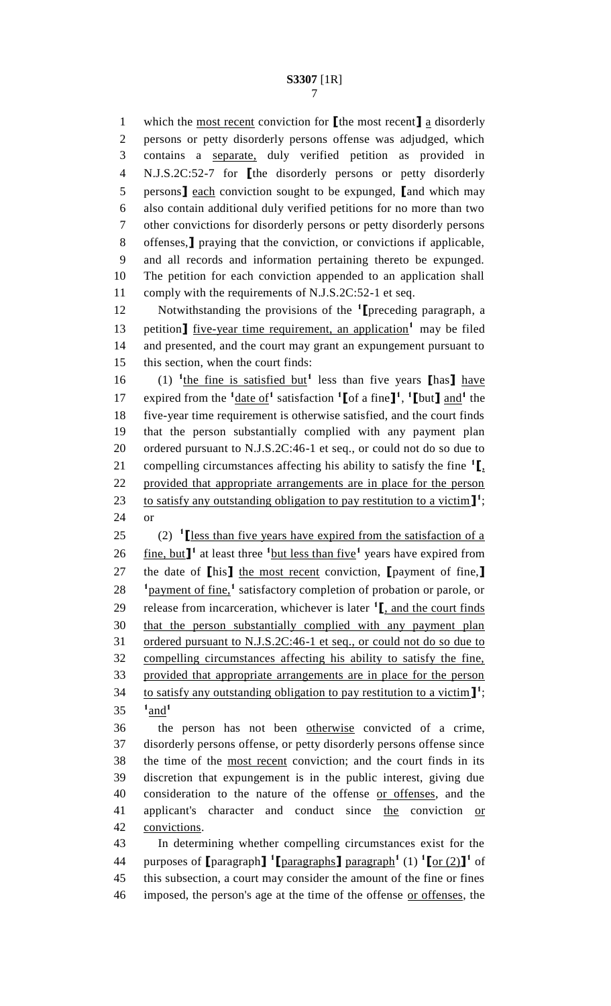which the most recent conviction for **[**the most recent**]** a disorderly persons or petty disorderly persons offense was adjudged, which contains a separate, duly verified petition as provided in N.J.S.2C:52-7 for **[**the disorderly persons or petty disorderly persons**]** each conviction sought to be expunged, **[**and which may also contain additional duly verified petitions for no more than two other convictions for disorderly persons or petty disorderly persons offenses,**]** praying that the conviction, or convictions if applicable, and all records and information pertaining thereto be expunged. The petition for each conviction appended to an application shall comply with the requirements of N.J.S.2C:52-1 et seq.

Notwithstanding the provisions of the **<sup>1</sup> [**preceding paragraph, a 13 petition<sub>1</sub> five-year time requirement, an application<sup>1</sup> may be filed and presented, and the court may grant an expungement pursuant to this section, when the court finds:

16 (1) <sup>1</sup>the fine is satisfied but<sup>1</sup> less than five years **[has]** have 17 expired from the  $\frac{1}{\text{date of}}$  satisfaction  $\frac{1}{\text{of}}$  a fine  $\mathbf{I}^1$ ,  $\frac{1}{\text{but}}$  and  $\frac{1}{\text{at}}$  the five-year time requirement is otherwise satisfied, and the court finds that the person substantially complied with any payment plan ordered pursuant to N.J.S.2C:46-1 et seq., or could not do so due to 21 compelling circumstances affecting his ability to satisfy the fine  ${}^{1}$  $\blacksquare$ , provided that appropriate arrangements are in place for the person 23 to satisfy any outstanding obligation to pay restitution to a victim  $\mathbf{I}^1$ ; or

25 (2)  $\textbf{1}$  [less than five years have expired from the satisfaction of a 26  $\frac{\text{fine, but}}{\text{l}}$ <sup>1</sup> at least three  $\frac{\text{1}^{\text{h}}}{\text{but less than five}}$  years have expired from the date of **[**his**]** the most recent conviction, **[**payment of fine,**]** <sup>1</sup> payment of fine,<sup>1</sup> satisfactory completion of probation or parole, or 29 release from incarceration, whichever is later  $\frac{1}{1}$ , and the court finds that the person substantially complied with any payment plan 31 ordered pursuant to N.J.S.2C:46-1 et seq., or could not do so due to compelling circumstances affecting his ability to satisfy the fine, provided that appropriate arrangements are in place for the person 34 to satisfy any outstanding obligation to pay restitution to a victim  $\mathbf{I}^1$ ; and**<sup>1</sup>** 

 the person has not been otherwise convicted of a crime, disorderly persons offense, or petty disorderly persons offense since the time of the most recent conviction; and the court finds in its discretion that expungement is in the public interest, giving due consideration to the nature of the offense or offenses, and the applicant's character and conduct since the conviction or convictions.

 In determining whether compelling circumstances exist for the 44 purposes of  $\left[\text{paragnh}\right]$ <sup>1</sup> $\left[\text{paragnh}\right]$  paragraph<sup>1</sup> (1) <sup>1</sup> $\left[\text{or (2)}\right]$ <sup>1</sup> of this subsection, a court may consider the amount of the fine or fines 46 imposed, the person's age at the time of the offense or offenses, the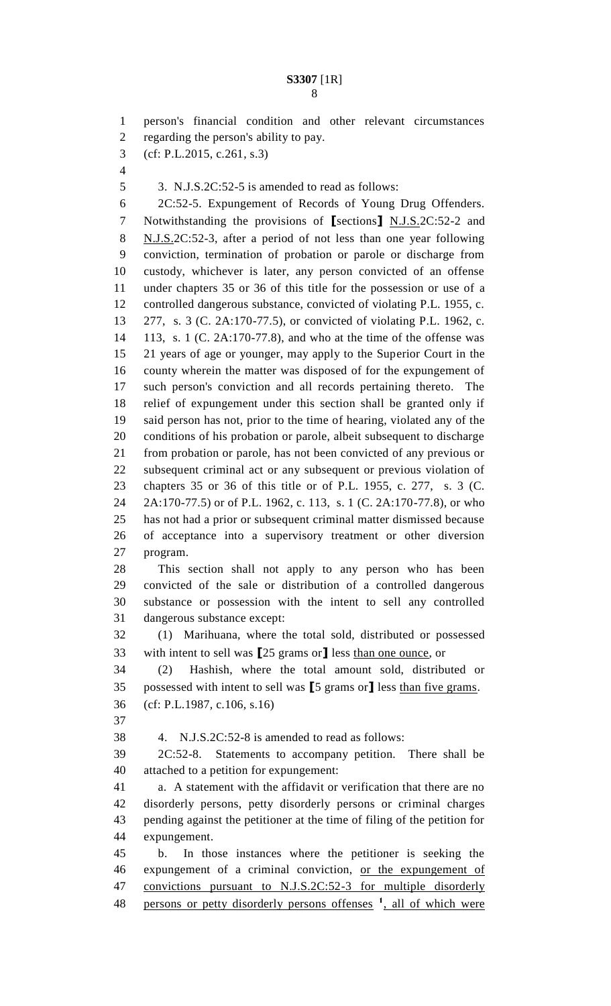person's financial condition and other relevant circumstances regarding the person's ability to pay. (cf: P.L.2015, c.261, s.3) 3. N.J.S.2C:52-5 is amended to read as follows: 2C:52-5. Expungement of Records of Young Drug Offenders. Notwithstanding the provisions of **[**sections**]** N.J.S.2C:52-2 and N.J.S.2C:52-3, after a period of not less than one year following conviction, termination of probation or parole or discharge from custody, whichever is later, any person convicted of an offense under chapters 35 or 36 of this title for the possession or use of a controlled dangerous substance, convicted of violating P.L. 1955, c. 277, s. 3 (C. 2A:170-77.5), or convicted of violating P.L. 1962, c. 113, s. 1 (C. 2A:170-77.8), and who at the time of the offense was 21 years of age or younger, may apply to the Superior Court in the county wherein the matter was disposed of for the expungement of such person's conviction and all records pertaining thereto. The relief of expungement under this section shall be granted only if said person has not, prior to the time of hearing, violated any of the conditions of his probation or parole, albeit subsequent to discharge from probation or parole, has not been convicted of any previous or subsequent criminal act or any subsequent or previous violation of chapters 35 or 36 of this title or of P.L. 1955, c. 277, s. 3 (C. 2A:170-77.5) or of P.L. 1962, c. 113, s. 1 (C. 2A:170-77.8), or who has not had a prior or subsequent criminal matter dismissed because of acceptance into a supervisory treatment or other diversion program. This section shall not apply to any person who has been convicted of the sale or distribution of a controlled dangerous substance or possession with the intent to sell any controlled dangerous substance except: (1) Marihuana, where the total sold, distributed or possessed with intent to sell was **[**25 grams or**]** less than one ounce, or (2) Hashish, where the total amount sold, distributed or possessed with intent to sell was **[**5 grams or**]** less than five grams. (cf: P.L.1987, c.106, s.16) 4. N.J.S.2C:52-8 is amended to read as follows: 2C:52-8. Statements to accompany petition. There shall be disorderly persons, petty disorderly persons or criminal charges pending against the petitioner at the time of filing of the petition for expungement. b. In those instances where the petitioner is seeking the expungement of a criminal conviction, or the expungement of convictions pursuant to N.J.S.2C:52-3 for multiple disorderly

48 persons or petty disorderly persons offenses <sup>1</sup>, all of which were

 attached to a petition for expungement: a. A statement with the affidavit or verification that there are no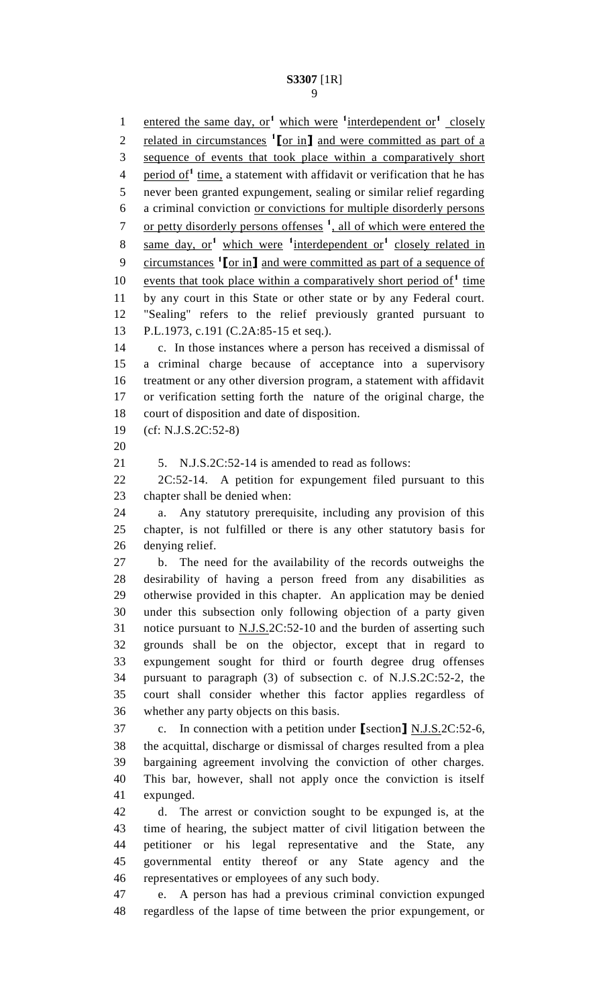1 entered the same day, or<sup>1</sup> which were <sup>1</sup> interdependent or<sup>1</sup> closely 2 related in circumstances  $\frac{1}{\pi}$  or in and were committed as part of a sequence of events that took place within a comparatively short 4 period of<sup>1</sup> time, a statement with affidavit or verification that he has never been granted expungement, sealing or similar relief regarding a criminal conviction or convictions for multiple disorderly persons 7 or petty disorderly persons offenses <sup>1</sup>, all of which were entered the 8 same day, or<sup>1</sup> which were <sup>1</sup>interdependent or<sup>1</sup> closely related in 9 circumstances <sup>1</sup> [or in] and were committed as part of a sequence of 10 events that took place within a comparatively short period of<sup>1</sup> time by any court in this State or other state or by any Federal court. "Sealing" refers to the relief previously granted pursuant to P.L.1973, c.191 (C.2A:85-15 et seq.). c. In those instances where a person has received a dismissal of a criminal charge because of acceptance into a supervisory treatment or any other diversion program, a statement with affidavit or verification setting forth the nature of the original charge, the court of disposition and date of disposition. (cf: N.J.S.2C:52-8) 21 5. N.J.S.2C:52-14 is amended to read as follows: 2C:52-14. A petition for expungement filed pursuant to this chapter shall be denied when: a. Any statutory prerequisite, including any provision of this chapter, is not fulfilled or there is any other statutory basis for denying relief. b. The need for the availability of the records outweighs the desirability of having a person freed from any disabilities as otherwise provided in this chapter. An application may be denied under this subsection only following objection of a party given 31 notice pursuant to N.J.S.2C:52-10 and the burden of asserting such grounds shall be on the objector, except that in regard to expungement sought for third or fourth degree drug offenses pursuant to paragraph (3) of subsection c. of N.J.S.2C:52-2, the court shall consider whether this factor applies regardless of whether any party objects on this basis. c. In connection with a petition under **[**section**]** N.J.S.2C:52-6, the acquittal, discharge or dismissal of charges resulted from a plea bargaining agreement involving the conviction of other charges. This bar, however, shall not apply once the conviction is itself expunged. d. The arrest or conviction sought to be expunged is, at the time of hearing, the subject matter of civil litigation between the petitioner or his legal representative and the State, any governmental entity thereof or any State agency and the representatives or employees of any such body. e. A person has had a previous criminal conviction expunged regardless of the lapse of time between the prior expungement, or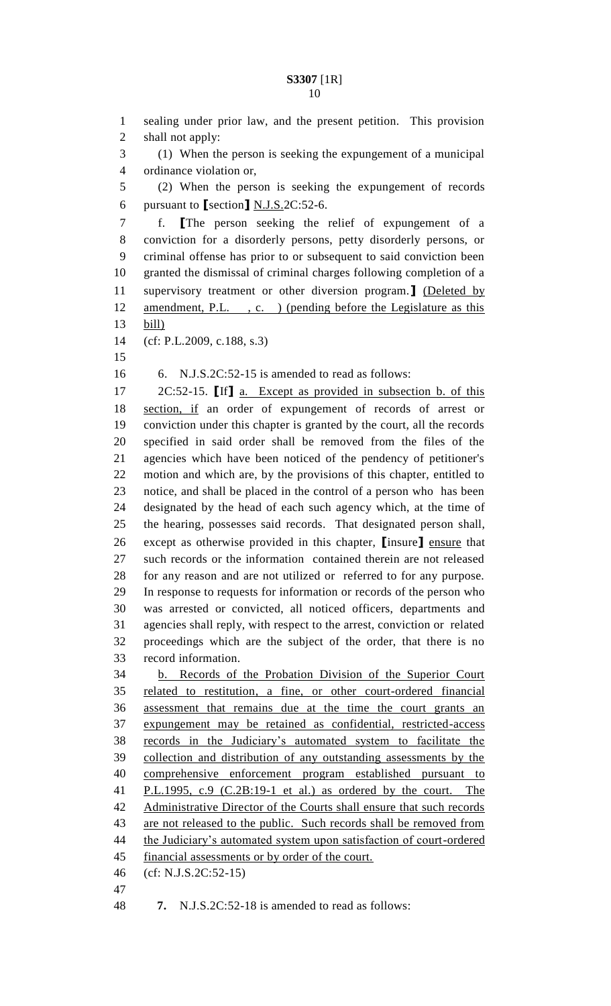```
1 sealing under prior law, and the present petition. This provision 
 2 shall not apply:
 3 (1) When the person is seeking the expungement of a municipal 
 4 ordinance violation or,
 5 (2) When the person is seeking the expungement of records 
 6 pursuant to [section] N.J.S.2C:52-6.
 7 f. [The person seeking the relief of expungement of a 
8 conviction for a disorderly persons, petty disorderly persons, or 
9 criminal offense has prior to or subsequent to said conviction been 
10 granted the dismissal of criminal charges following completion of a 
11 supervisory treatment or other diversion program.] (Deleted by 
12 amendment, P.L. , c. ) (pending before the Legislature as this 
13 bill)
14 (cf: P.L.2009, c.188, s.3)
15
16 6. N.J.S.2C:52-15 is amended to read as follows:
17 2C:52-15. [If] a. Except as provided in subsection b. of this 
18 section, if an order of expungement of records of arrest or 
19 conviction under this chapter is granted by the court, all the records 
20 specified in said order shall be removed from the files of the 
21 agencies which have been noticed of the pendency of petitioner's 
22 motion and which are, by the provisions of this chapter, entitled to 
23 notice, and shall be placed in the control of a person who has been 
24 designated by the head of each such agency which, at the time of 
25 the hearing, possesses said records. That designated person shall, 
26 except as otherwise provided in this chapter, [insure] ensure that 
27 such records or the information contained therein are not released 
28 for any reason and are not utilized or referred to for any purpose. 
29 In response to requests for information or records of the person who 
30 was arrested or convicted, all noticed officers, departments and 
31 agencies shall reply, with respect to the arrest, conviction or related 
32 proceedings which are the subject of the order, that there is no 
33 record information.
34 b. Records of the Probation Division of the Superior Court 
35 related to restitution, a fine, or other court-ordered financial 
36 assessment that remains due at the time the court grants an 
37 expungement may be retained as confidential, restricted-access 
38 records in the Judiciary's automated system to facilitate the 
39 collection and distribution of any outstanding assessments by the 
40 comprehensive enforcement program established pursuant to
41 P.L.1995, c.9 (C.2B:19-1 et al.) as ordered by the court. The 
42 Administrative Director of the Courts shall ensure that such records
43 are not released to the public. Such records shall be removed from
44 the Judiciary's automated system upon satisfaction of court-ordered
45 financial assessments or by order of the court.
46 (cf: N.J.S.2C:52-15)
47
```
**7.** N.J.S.2C:52-18 is amended to read as follows: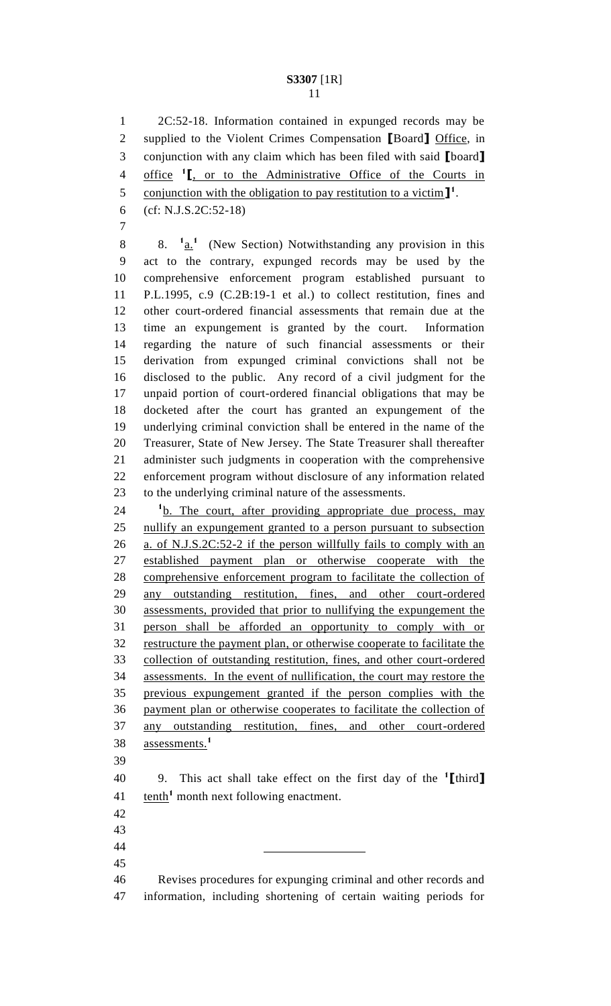2C:52-18. Information contained in expunged records may be supplied to the Violent Crimes Compensation **[**Board**]** Office, in conjunction with any claim which has been filed with said **[**board**]** 4 office <sup>1</sup><sub>I</sub>, or to the Administrative Office of the Courts in 5 conjunction with the obligation to pay restitution to a victim<sup>1</sup>.

 (cf: N.J.S.2C:52-18) 

8. **<sup>1</sup>**  $\cdot$  8.  $\frac{1}{a}$  (New Section) Notwithstanding any provision in this act to the contrary, expunged records may be used by the comprehensive enforcement program established pursuant to P.L.1995, c.9 (C.2B:19-1 et al.) to collect restitution, fines and other court-ordered financial assessments that remain due at the time an expungement is granted by the court. Information regarding the nature of such financial assessments or their derivation from expunged criminal convictions shall not be disclosed to the public. Any record of a civil judgment for the unpaid portion of court-ordered financial obligations that may be docketed after the court has granted an expungement of the underlying criminal conviction shall be entered in the name of the Treasurer, State of New Jersey. The State Treasurer shall thereafter administer such judgments in cooperation with the comprehensive enforcement program without disclosure of any information related to the underlying criminal nature of the assessments.

24 <sup>1</sup>b. The court, after providing appropriate due process, may nullify an expungement granted to a person pursuant to subsection a. of N.J.S.2C:52-2 if the person willfully fails to comply with an established payment plan or otherwise cooperate with the comprehensive enforcement program to facilitate the collection of any outstanding restitution, fines, and other court-ordered assessments, provided that prior to nullifying the expungement the person shall be afforded an opportunity to comply with or restructure the payment plan, or otherwise cooperate to facilitate the collection of outstanding restitution, fines, and other court-ordered assessments. In the event of nullification, the court may restore the previous expungement granted if the person complies with the payment plan or otherwise cooperates to facilitate the collection of any outstanding restitution, fines, and other court-ordered assessments.**<sup>1</sup>** 

9. This act shall take effect on the first day of the **<sup>1</sup> [**third**]** 41 tenth<sup>1</sup> month next following enactment.

 

 Revises procedures for expunging criminal and other records and information, including shortening of certain waiting periods for